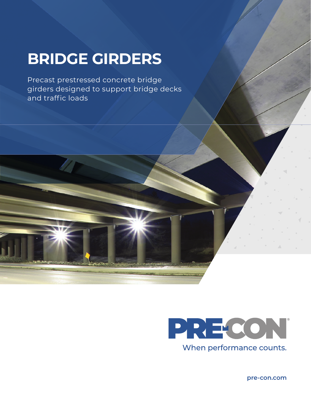# **BRIDGE GIRDERS**

Precast prestressed concrete bridge girders designed to support bridge decks and traffic loads



**pre-con.com**